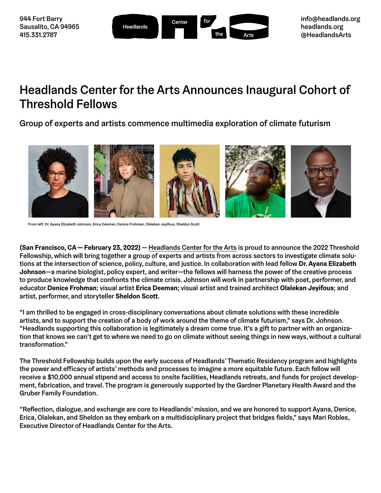| 944 Fort Barry<br>Sausalito, CA 94965<br>415.331.2787 | Headlands | Center | for<br>the | Arts | info@headlands.org<br>headlands.org<br>@HeadlandsArts |
|-------------------------------------------------------|-----------|--------|------------|------|-------------------------------------------------------|
|-------------------------------------------------------|-----------|--------|------------|------|-------------------------------------------------------|

# Headlands Center for the Arts Announces Inaugural Cohort of Threshold Fellows

Group of experts and artists commence multimedia exploration of climate futurism



From left: Dr. Ayana Elizabeth Johnson, Erica Deeman, Denice Frohman, Olalekan Jeyifous, Sheldon Scott

**(San Francisco, CA — February 23, 2022)** — [Headlands Center for the Arts](https://www.headlands.org/) is proud to announce the 2022 Threshold Fellowship, which will bring together a group of experts and artists from across sectors to investigate climate solutions at the intersection of science, policy, culture, and justice. In collaboration with lead fellow **Dr. Ayana Elizabeth Johnson**—a marine biologist, policy expert, and writer—the fellows will harness the power of the creative process to produce knowledge that confronts the climate crisis. Johnson will work in partnership with poet, performer, and educator **Denice Frohman**; visual artist **Erica Deeman**; visual artist and trained architect **Olalekan Jeyifous**; and artist, performer, and storyteller **Sheldon Scott**.

"I am thrilled to be engaged in cross-disciplinary conversations about climate solutions with these incredible artists, and to support the creation of a body of work around the theme of climate futurism," says Dr. Johnson. "Headlands supporting this collaboration is legitimately a dream come true. It's a gift to partner with an organization that knows we can't get to where we need to go on climate without seeing things in new ways, without a cultural transformation."

The Threshold Fellowship builds upon the early success of Headlands' Thematic Residency program and highlights the power and efficacy of artists' methods and processes to imagine a more equitable future. Each fellow will receive a \$10,000 annual stipend and access to onsite facilities, Headlands retreats, and funds for project development, fabrication, and travel. The program is generously supported by the Gardner Planetary Health Award and the Gruber Family Foundation.

"Reflection, dialogue, and exchange are core to Headlands' mission, and we are honored to support Ayana, Denice, Erica, Olalekan, and Sheldon as they embark on a multidisciplinary project that bridges fields," says Mari Robles, Executive Director of Headlands Center for the Arts.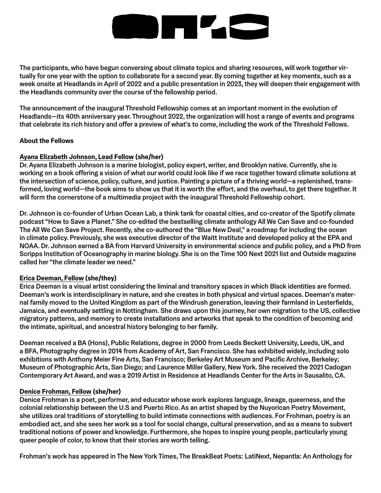# **SHAC**

The participants, who have begun conversing about climate topics and sharing resources, will work together virtually for one year with the option to collaborate for a second year. By coming together at key moments, such as a week onsite at Headlands in April of 2022 and a public presentation in 2023, they will deepen their engagement with the Headlands community over the course of the fellowship period.

The announcement of the inaugural Threshold Fellowship comes at an important moment in the evolution of Headlands—its 40th anniversary year. Throughout 2022, the organization will host a range of events and programs that celebrate its rich history and offer a preview of what's to come, including the work of the Threshold Fellows.

#### **About the Fellows**

#### **[Ayana Elizabeth Johnson, Lead Fellow](https://www.headlands.org/artist/ayana-elizabeth-johnson/) (she/her)**

Dr. Ayana Elizabeth Johnson is a marine biologist, policy expert, writer, and Brooklyn native. Currently, she is working on a book offering a vision of what our world could look like if we race together toward climate solutions at the intersection of science, policy, culture, and justice. Painting a picture of a thriving world—a replenished, transformed, loving world—the book aims to show us that it is worth the effort, and the overhaul, to get there together. It will form the cornerstone of a multimedia project with the inaugural Threshold Fellowship cohort.

Dr. Johnson is co-founder of Urban Ocean Lab, a think tank for coastal cities, and co-creator of the Spotify climate podcast "How to Save a Planet." She co-edited the bestselling climate anthology All We Can Save and co-founded The All We Can Save Project. Recently, she co-authored the "Blue New Deal," a roadmap for including the ocean in climate policy. Previously, she was executive director of the Waitt Institute and developed policy at the EPA and NOAA. Dr. Johnson earned a BA from Harvard University in environmental science and public policy, and a PhD from Scripps Institution of Oceanography in marine biology. She is on the Time 100 Next 2021 list and Outside magazine called her "the climate leader we need."

#### **[Erica Deeman, Fellow](https://www.headlands.org/artist/erica-deeman/) (she/they)**

Erica Deeman is a visual artist considering the liminal and transitory spaces in which Black identities are formed. Deeman's work is interdisciplinary in nature, and she creates in both physical and virtual spaces. Deeman's maternal family moved to the United Kingdom as part of the Windrush generation, leaving their farmland in Lesterfields, Jamaica, and eventually settling in Nottingham. She draws upon this journey, her own migration to the US, collective migratory patterns, and memory to create installations and artworks that speak to the condition of becoming and the intimate, spiritual, and ancestral history belonging to her family.

Deeman received a BA (Hons), Public Relations, degree in 2000 from Leeds Beckett University, Leeds, UK, and a BFA, Photography degree in 2014 from Academy of Art, San Francisco. She has exhibited widely, including solo exhibitions with Anthony Meier Fine Arts, San Francisco; Berkeley Art Museum and Pacific Archive, Berkeley; Museum of Photographic Arts, San Diego; and Laurence Miller Gallery, New York. She received the 2021 Cadogan Contemporary Art Award, and was a 2019 Artist in Residence at Headlands Center for the Arts in Sausalito, CA.

#### **[Denice Frohman, Fellow](https://www.headlands.org/artist/denice-frohman/) (she/her)**

Denice Frohman is a poet, performer, and educator whose work explores language, lineage, queerness, and the colonial relationship between the U.S and Puerto Rico. As an artist shaped by the Nuyorican Poetry Movement, she utilizes oral traditions of storytelling to build intimate connections with audiences. For Frohman, poetry is an embodied act, and she sees her work as a tool for social change, cultural preservation, and as a means to subvert traditional notions of power and knowledge. Furthermore, she hopes to inspire young people, particularly young queer people of color, to know that their stories are worth telling.

Frohman's work has appeared in The New York Times, The BreakBeat Poets: LatiNext, Nepantla: An Anthology for